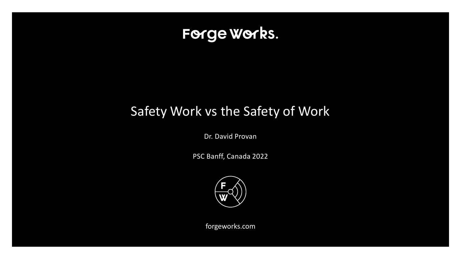

## Safety Work vs the Safety of Work

Dr. David Provan

PSC Banff, Canada 2022



forgeworks.com

CONFIDENTIAL & PROPRIETARY | ©2020 P —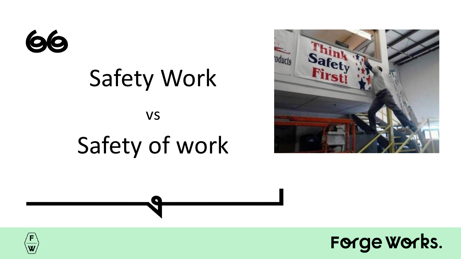

# Safety Work vs Safety of work





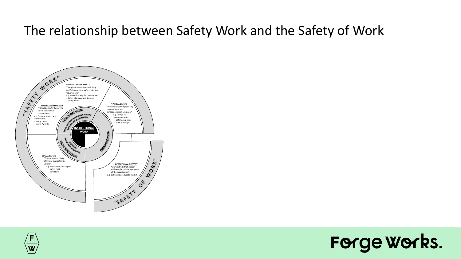#### The relationship between Safety Work and the Safety of Work





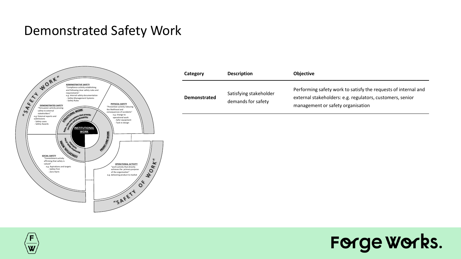#### Demonstrated Safety Work



| Category            | <b>Description</b>                           | <b>Objective</b>                                                                                                                                                 |  |  |
|---------------------|----------------------------------------------|------------------------------------------------------------------------------------------------------------------------------------------------------------------|--|--|
| <b>Demonstrated</b> | Satisfying stakeholder<br>demands for safety | Performing safety work to satisfy the requests of internal and<br>external stakeholders: e.g. regulators, customers, senior<br>management or safety organisation |  |  |



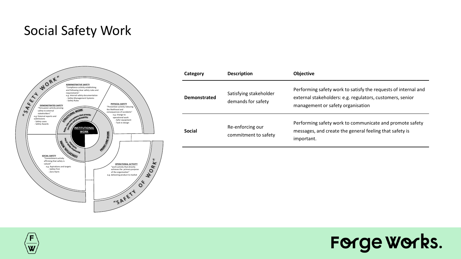#### Social Safety Work



| Category            | <b>Description</b>                           | <b>Objective</b>                                                                                                                                                 |  |  |  |
|---------------------|----------------------------------------------|------------------------------------------------------------------------------------------------------------------------------------------------------------------|--|--|--|
| <b>Demonstrated</b> | Satisfying stakeholder<br>demands for safety | Performing safety work to satisfy the requests of internal and<br>external stakeholders: e.g. regulators, customers, senior<br>management or safety organisation |  |  |  |
| <b>Social</b>       | Re-enforcing our<br>commitment to safety     | Performing safety work to communicate and promote safety<br>messages, and create the general feeling that safety is<br>important.                                |  |  |  |
|                     |                                              |                                                                                                                                                                  |  |  |  |



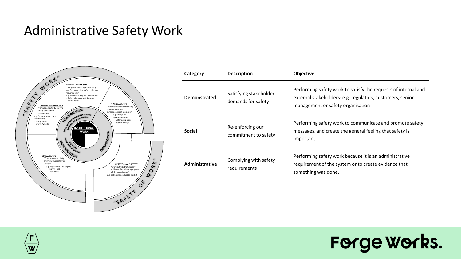#### Administrative Safety Work



| Category                                                | <b>Description</b>                           | <b>Objective</b>                                                                                                                                                 |  |  |  |  |
|---------------------------------------------------------|----------------------------------------------|------------------------------------------------------------------------------------------------------------------------------------------------------------------|--|--|--|--|
| <b>Demonstrated</b>                                     | Satisfying stakeholder<br>demands for safety | Performing safety work to satisfy the requests of internal and<br>external stakeholders: e.g. regulators, customers, senior<br>management or safety organisation |  |  |  |  |
| <b>Social</b>                                           | Re-enforcing our<br>commitment to safety     | Performing safety work to communicate and promote safety<br>messages, and create the general feeling that safety is<br>important.                                |  |  |  |  |
| Complying with safety<br>Administrative<br>requirements |                                              | Performing safety work because it is an administrative<br>requirement of the system or to create evidence that<br>something was done.                            |  |  |  |  |



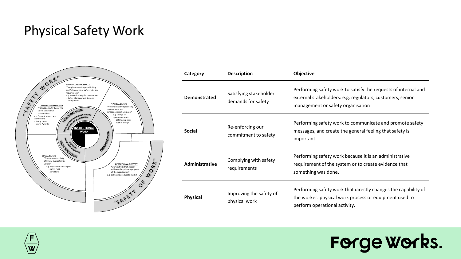#### Physical Safety Work



| Category                                                    | <b>Description</b>                           | Objective                                                                                                                                                        |  |  |  |
|-------------------------------------------------------------|----------------------------------------------|------------------------------------------------------------------------------------------------------------------------------------------------------------------|--|--|--|
| Demonstrated                                                | Satisfying stakeholder<br>demands for safety | Performing safety work to satisfy the requests of internal and<br>external stakeholders: e.g. regulators, customers, senior<br>management or safety organisation |  |  |  |
| <b>Social</b>                                               | Re-enforcing our<br>commitment to safety     | Performing safety work to communicate and promote safety<br>messages, and create the general feeling that safety is<br>important.                                |  |  |  |
| <b>Administrative</b>                                       | Complying with safety<br>requirements        | Performing safety work because it is an administrative<br>requirement of the system or to create evidence that<br>something was done.                            |  |  |  |
| Improving the safety of<br><b>Physical</b><br>physical work |                                              | Performing safety work that directly changes the capability of<br>the worker. physical work process or equipment used to<br>perform operational activity.        |  |  |  |



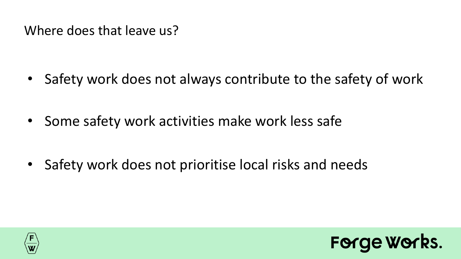Where does that leave us?

- Safety work does not always contribute to the safety of work
- Some safety work activities make work less safe

• Safety work does not prioritise local risks and needs



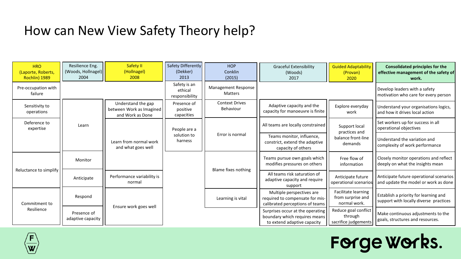#### How can New View Safety Theory help?

| <b>HRO</b><br>(Laporte, Roberts,<br>Rochlin) 1989 | Resilience Eng.<br>(Woods, Hollnagel)<br>2004 | Safety II<br>(Hollnagel)<br>2008                                   | Safety Differently<br>(Dekker)<br>2013    | <b>HOP</b><br>Conklin<br>(2015)                                                                 | <b>Graceful Extensibility</b><br>(Woods)<br>2017                                                 | <b>Guided Adaptability</b><br>(Provan)<br>2020                                  | <b>Consolidated principles for the</b><br>effective management of the safety of<br>work. |
|---------------------------------------------------|-----------------------------------------------|--------------------------------------------------------------------|-------------------------------------------|-------------------------------------------------------------------------------------------------|--------------------------------------------------------------------------------------------------|---------------------------------------------------------------------------------|------------------------------------------------------------------------------------------|
| Pre-occupation with<br>failure                    |                                               |                                                                    | Safety is an<br>ethical<br>responsibility | Management Response<br><b>Matters</b>                                                           |                                                                                                  |                                                                                 | Develop leaders with a safety<br>motivation who care for every person                    |
| Sensitivity to<br>operations                      |                                               | Understand the gap<br>between Work as Imagined<br>and Work as Done | Presence of<br>positive<br>capacities     | <b>Context Drives</b><br>Behaviour                                                              | Adaptive capacity and the<br>capacity for manoeuvre is finite                                    | Explore everyday<br>work                                                        | Understand your organisations logics,<br>and how it drives local action                  |
| Deference to<br>expertise                         | Learn                                         | Learn from normal work<br>and what goes well                       | People are a<br>solution to<br>harness    | Error is normal                                                                                 | All teams are locally constrained                                                                | Support local<br>practices and<br>balance front-line<br>demands                 | Set workers up for success in all<br>operational objectives                              |
|                                                   |                                               |                                                                    |                                           |                                                                                                 | Teams monitor, influence,<br>constrict, extend the adaptive<br>capacity of others                |                                                                                 | Understand the variation and<br>complexity of work performance                           |
| Reluctance to simplify                            | Monitor                                       |                                                                    |                                           | Blame fixes nothing                                                                             | Teams pursue own goals which<br>modifies pressures on others                                     | Free flow of<br>information                                                     | Closely monitor operations and reflect<br>deeply on what the insights mean               |
|                                                   | Anticipate                                    | Performance variability is<br>normal                               |                                           |                                                                                                 | All teams risk saturation of<br>adaptive capacity and require<br>support                         | Anticipate future<br>operational scenarios                                      | Anticipate future operational scenarios<br>and update the model or work as done          |
| Commitment to<br>Resilience                       | Respond<br>Ensure work goes well              |                                                                    | Learning is vital                         | Multiple perspectives are<br>required to compensate for mis-<br>calibrated perceptions of teams | Facilitate learning<br>from surprise and<br>normal work.                                         | Establish a priority for learning and<br>support with locally diverse practices |                                                                                          |
|                                                   | Presence of<br>adaptive capacity              |                                                                    |                                           |                                                                                                 | Surprises occur at the operating<br>boundary which requires means<br>to extend adaptive capacity | Reduce goal conflict<br>through<br>sacrifice judgements                         | Make continuous adjustments to the<br>goals, structures and resources.                   |



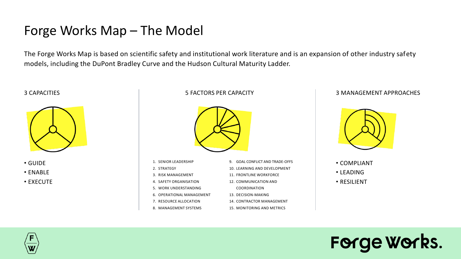#### Forge Works Map – The Model

The Forge Works Map is based on scientific safety and institutional work literature and is an expansion of other industry safety models, including the DuPont Bradley Curve and the Hudson Cultural Maturity Ladder.





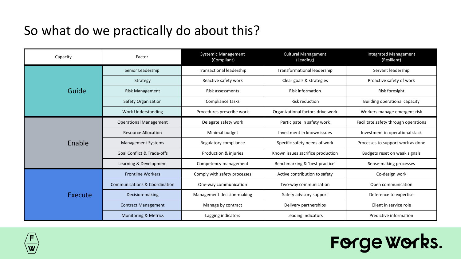## So what do we practically do about this?

| Capacity | Factor                                   | Systemic Management<br>(Compliant) | <b>Cultural Management</b><br>(Leading) | <b>Integrated Management</b><br>(Resilient) |
|----------|------------------------------------------|------------------------------------|-----------------------------------------|---------------------------------------------|
|          | Senior Leadership                        | Transactional leadership           | Transformational leadership             | Servant leadership                          |
| Guide    | Strategy                                 | Reactive safety work               | Clear goals & strategies                | Proactive safety of work                    |
|          | <b>Risk Management</b>                   | Risk assessments                   | <b>Risk information</b>                 | Risk foresight                              |
|          | Safety Organization                      | Compliance tasks                   | <b>Risk reduction</b>                   | Building operational capacity               |
|          | <b>Work Understanding</b>                | Procedures prescribe work          | Organizational factors drive work       | Workers manage emergent risk                |
| Enable   | <b>Operational Management</b>            | Delegate safety work               | Participate in safety work              | Facilitate safety through operations        |
|          | <b>Resource Allocation</b>               | Minimal budget                     | Investment in known issues              | Investment in operational slack             |
|          | <b>Management Systems</b>                | Regulatory compliance              | Specific safety needs of work           | Processes to support work as done           |
|          | <b>Goal Conflict &amp; Trade-offs</b>    | Production & injuries              | Known issues sacrifice production       | Budgets reset on weak signals               |
|          | Learning & Development                   | Competency management              | Benchmarking & 'best practice'          | Sense-making processes                      |
| Execute  | <b>Frontline Workers</b>                 | Comply with safety processes       | Active contribution to safety           | Co-design work                              |
|          | <b>Communications &amp; Coordination</b> | One-way communication              | Two-way communication                   | Open communication                          |
|          | Decision-making                          | Management decision-making         | Safety advisory support                 | Deference to expertise                      |
|          | <b>Contract Management</b>               | Manage by contract                 | Delivery partnerships                   | Client in service role                      |
|          | <b>Monitoring &amp; Metrics</b>          | Lagging indicators                 | Leading indicators                      | Predictive information                      |



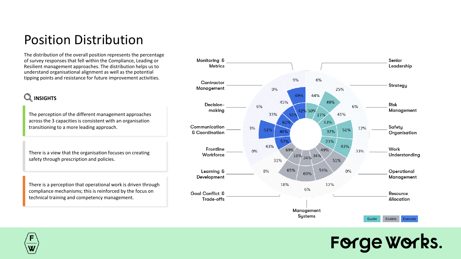#### Position Distribution

The distribution of the overall position represents the percentage of survey responses that fell within the Compliance, Leading or Resilient management approaches. The distribution helps us to understand organisational alignment as well as the potential tipping points and resistance for future improvement activities.

#### **Q** INSIGHTS

The perception of the different management approaches across the 3 capacities is consistent with an organisation transitioning to a more leading approach.

There is a view that the organisation focuses on creating safety through prescription and policies.

There is a perception that operational work is driven through compliance mechanisms; this is reinforced by the focus on technical training and competency management.



## Forge Works.

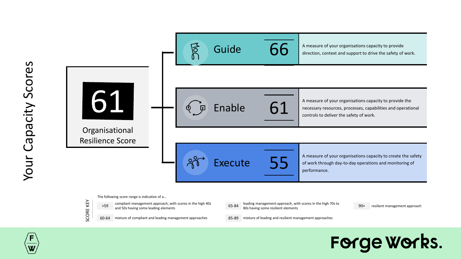



- 
- 60-64 mixture of compliant and leading management approaches 85-89 mixture of leading and resilient management approaches